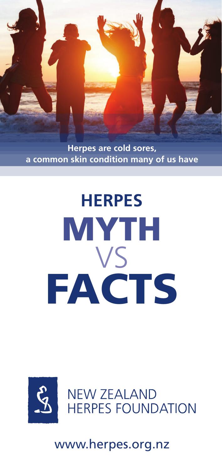**Herpes are cold sores, a common skin condition many of us have**

# FACTS VS MYTH **HERPES**



www.herpes.org.nz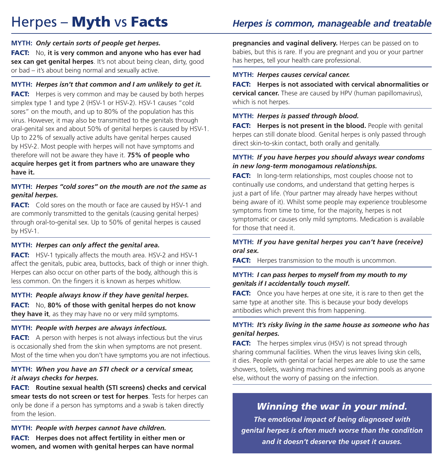**MYTH:** *Only certain sorts of people get herpes.*

FACT: No, **it is very common and anyone who has ever had sex can get genital herpes**. It's not about being clean, dirty, good or bad – it's about being normal and sexually active.

#### **MYTH:** *Herpes isn't that common and I am unlikely to get it.*

**FACT:** Herpes is very common and may be caused by both herpes simplex type 1 and type 2 (HSV-1 or HSV-2). HSV-1 causes "cold sores" on the mouth, and up to 80% of the population has this virus. However, it may also be transmitted to the genitals through oral-genital sex and about 50% of genital herpes is caused by HSV-1. Up to 22% of sexually active adults have genital herpes caused by HSV-2. Most people with herpes will not have symptoms and therefore will not be aware they have it. **75% of people who acquire herpes get it from partners who are unaware they have it.**

#### **MYTH:** *Herpes "cold sores" on the mouth are not the same as genital herpes.*

**FACT:** Cold sores on the mouth or face are caused by HSV-1 and are commonly transmitted to the genitals (causing genital herpes) through oral-to-genital sex. Up to 50% of genital herpes is caused by HSV-1.

#### **MYTH:** *Herpes can only affect the genital area.*

**FACT:** HSV-1 typically affects the mouth area. HSV-2 and HSV-1 affect the genitals, pubic area, buttocks, back of thigh or inner thigh. Herpes can also occur on other parts of the body, although this is less common. On the fingers it is known as herpes whitlow.

**MYTH:** *People always know if they have genital herpes.* FACT: No, **80% of those with genital herpes do not know they have it**, as they may have no or very mild symptoms.

#### **MYTH:** *People with herpes are always infectious.*

**FACT:** A person with herpes is not always infectious but the virus is occasionally shed from the skin when symptoms are not present. Most of the time when you don't have symptoms you are not infectious.

### **MYTH:** *When you have an STI check or a cervical smear, it always checks for herpes.*

FACT: **Routine sexual health (STI screens) checks and cervical smear tests do not screen or test for herpes**. Tests for herpes can only be done if a person has symptoms and a swab is taken directly from the lesion.

**MYTH:** *People with herpes cannot have children.* FACT: **Herpes does not affect fertility in either men or women, and women with genital herpes can have normal**  **pregnancies and vaginal delivery.** Herpes can be passed on to babies, but this is rare. If you are pregnant and you or your partner has herpes, tell your health care professional.

#### **MYTH:** *Herpes causes cervical cancer.*

FACT: **Herpes is not associated with cervical abnormalities or cervical cancer.** These are caused by HPV (human papillomavirus), which is not herpes.

#### **MYTH:** *Herpes is passed through blood.*

**FACT:** Herpes is not present in the blood. People with genital herpes can still donate blood. Genital herpes is only passed through direct skin-to-skin contact, both orally and genitally.

#### **MYTH:** *If you have herpes you should always wear condoms in new long-term monogamous relationships.*

**FACT:** In long-term relationships, most couples choose not to continually use condoms, and understand that getting herpes is just a part of life. (Your partner may already have herpes without being aware of it). Whilst some people may experience troublesome symptoms from time to time, for the majority, herpes is not symptomatic or causes only mild symptoms. Medication is available for those that need it.

#### **MYTH:** *If you have genital herpes you can't have (receive) oral sex.*

**FACT:** Herpes transmission to the mouth is uncommon.

#### **MYTH:** *I can pass herpes to myself from my mouth to my genitals if I accidentally touch myself.*

**FACT:** Once you have herpes at one site, it is rare to then get the same type at another site. This is because your body develops antibodies which prevent this from happening.

#### **MYTH:** *It's risky living in the same house as someone who has genital herpes.*

**FACT:** The herpes simplex virus (HSV) is not spread through sharing communal facilities. When the virus leaves living skin cells, it dies. People with genital or facial herpes are able to use the same showers, toilets, washing machines and swimming pools as anyone else, without the worry of passing on the infection.

# *Winning the war in your mind.*

*The emotional impact of being diagnosed with genital herpes is often much worse than the condition and it doesn't deserve the upset it causes.*